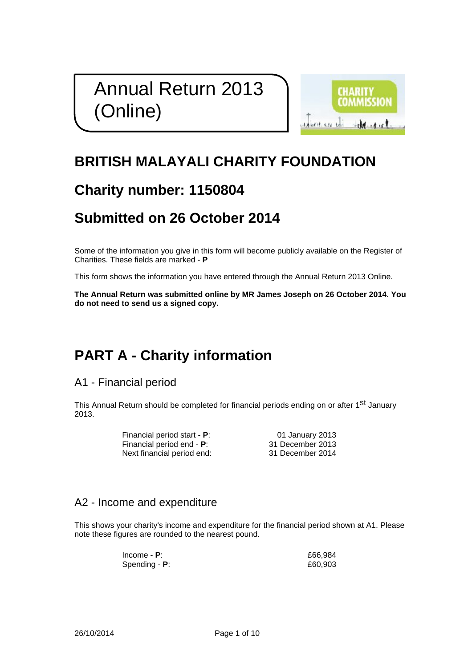# Annual Return 2013 (Online)



## **BRITISH MALAYALI CHARITY FOUNDATION**

## **Charity number: 1150804**

## **Submitted on 26 October 2014**

Some of the information you give in this form will become publicly available on the Register of Charities. These fields are marked - **P**

This form shows the information you have entered through the Annual Return 2013 Online.

**The Annual Return was submitted online by MR James Joseph on 26 October 2014. You do not need to send us a signed copy.**

## **PART A - Charity information**

A1 - Financial period

This Annual Return should be completed for financial periods ending on or after 1<sup>st</sup> January 2013.

| Financial period start - P:       | 01 January 2013  |
|-----------------------------------|------------------|
| Financial period end - <b>P</b> : | 31 December 2013 |
| Next financial period end:        | 31 December 2014 |

### A2 - Income and expenditure

This shows your charity's income and expenditure for the financial period shown at A1. Please note these figures are rounded to the nearest pound.

| Income - $P$ :   | £66,984 |
|------------------|---------|
| Spending - $P$ : | £60,903 |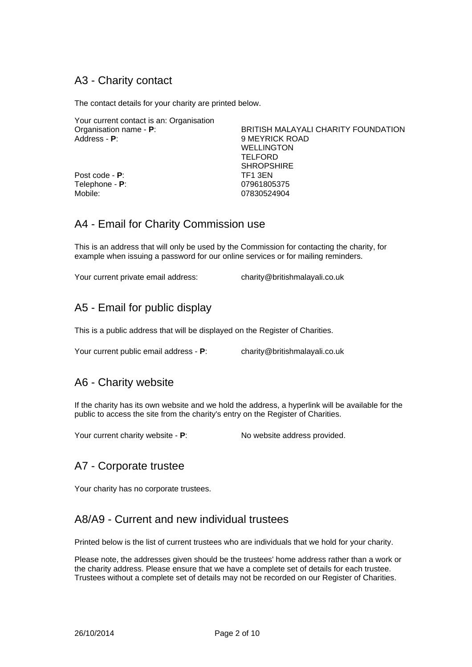### A3 - Charity contact

The contact details for your charity are printed below.

Your current contact is an: Organisation

Post code - **P**: Telephone - **P**: Mobile:

Organisation name - **P**:<br>Address - **P**:<br>BRITISH MALAYALI CHARITY FOUNDATION **9 MEYRICK ROAD** WELLINGTON **TELFORD** SHROPSHIRE TF1 3EN 07961805375 07830524904

### A4 - Email for Charity Commission use

This is an address that will only be used by the Commission for contacting the charity, for example when issuing a password for our online services or for mailing reminders.

Your current private email address: charity@britishmalayali.co.uk

### A5 - Email for public display

This is a public address that will be displayed on the Register of Charities.

Your current public email address - **P**: charity@britishmalayali.co.uk

### A6 - Charity website

If the charity has its own website and we hold the address, a hyperlink will be available for the public to access the site from the charity's entry on the Register of Charities.

Your current charity website - **P**: No website address provided.

### A7 - Corporate trustee

Your charity has no corporate trustees.

### A8/A9 - Current and new individual trustees

Printed below is the list of current trustees who are individuals that we hold for your charity.

Please note, the addresses given should be the trustees' home address rather than a work or the charity address. Please ensure that we have a complete set of details for each trustee. Trustees without a complete set of details may not be recorded on our Register of Charities.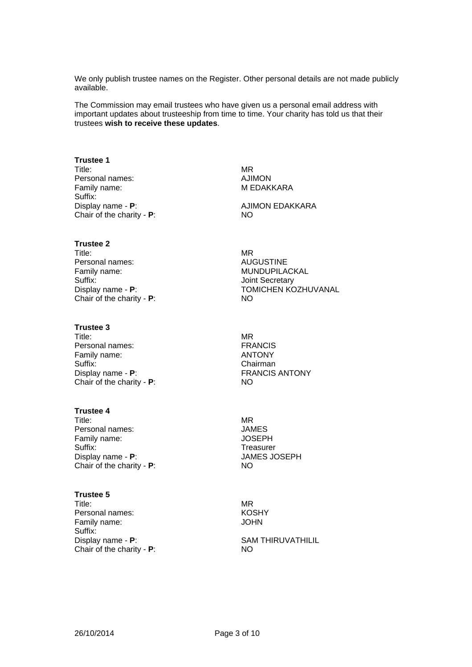We only publish trustee names on the Register. Other personal details are not made publicly available.

The Commission may email trustees who have given us a personal email address with important updates about trusteeship from time to time. Your charity has told us that their trustees **wish to receive these updates**.

#### **Trustee 1**

Title: Personal names: Family name: Suffix: Display name - **P**: Chair of the charity - **P**:

MR AJIMON M EDAKKARA

MR

AJIMON EDAKKARA NO

#### **Trustee 2**

Title: Personal names: Family name: Suffix: Display name - **P**: Chair of the charity - **P**:

#### **Trustee 3**

Title: Personal names: Family name: Suffix: Display name - **P**: Chair of the charity - **P**:

#### **Trustee 4**

Title: Personal names: Family name: Suffix: Display name - **P**: Chair of the charity - **P**:

#### **Trustee 5**

Title: Personal names: Family name: Suffix: Display name - **P**: Chair of the charity - **P**:

AUGUSTINE MUNDUPILACKAL Joint Secretary TOMICHEN KOZHUVANAL NO

MR FRANCIS ANTONY Chairman FRANCIS ANTONY NO

MR JAMES **JOSEPH Treasurer** JAMES JOSEPH NO

MR **KOSHY** JOHN

#### SAM THIRUVATHILIL NO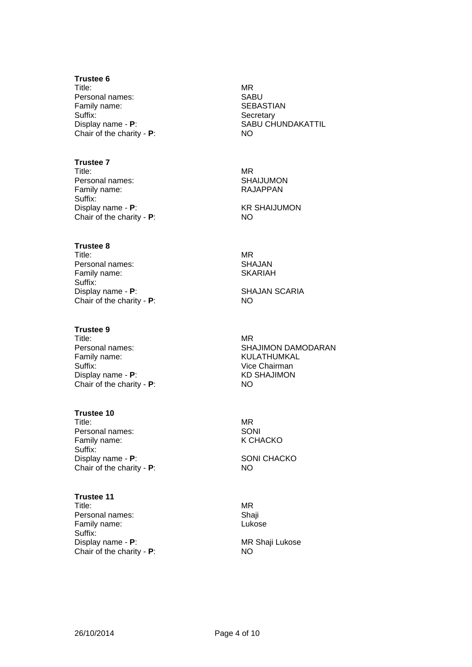#### **Trustee 6**

Title: Personal names: Family name: Suffix: Display name - **P**: Chair of the charity - **P**:

#### **Trustee 7**

Title: Personal names: Family name: Suffix: Display name - **P**: Chair of the charity - **P**:

#### **Trustee 8**

Title: Personal names: Family name: Suffix: Display name - **P**: Chair of the charity - **P**:

#### **Trustee 9**

Title: Personal names: Family name: Suffix: Display name - **P**: Chair of the charity - **P**:

#### **Trustee 10**

Title: Personal names: Family name: Suffix: Display name - **P**: Chair of the charity - **P**:

#### **Trustee 11**

Title: Personal names: Family name: Suffix: Display name - **P**: Chair of the charity - **P**: MR SABU **SEBASTIAN Secretary** SABU CHUNDAKATTIL NO

MR SHAIJUMON RAJAPPAN

KR SHAIJUMON NO

MR SHAJAN SKARIAH

SHAJAN SCARIA NO

MR SHAJIMON DAMODARAN KULATHUMKAL Vice Chairman KD SHAJIMON NO

MR SONI K CHACKO

SONI CHACKO NO

MR Shaji Lukose

MR Shaji Lukose NO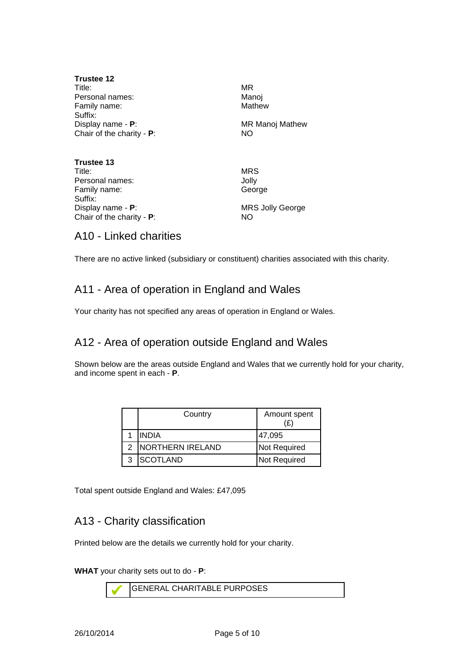| Trustee 12<br>Title:<br>Personal names:                      | MR<br>Manoj<br>Mathew<br><b>MR Manoj Mathew</b><br>NO. |  |
|--------------------------------------------------------------|--------------------------------------------------------|--|
| Family name:                                                 |                                                        |  |
| Suffix:<br>Display name - P:<br>Chair of the charity - $P$ : |                                                        |  |
| Trustee 13<br>Title:                                         | <b>MRS</b>                                             |  |
| Personal names:<br>Family name:                              | Jolly<br>George                                        |  |
| Suffix:<br>Display name - <b>P</b> :                         | <b>MRS Jolly George</b>                                |  |

### A10 - Linked charities

Chair of the charity - **P**:

There are no active linked (subsidiary or constituent) charities associated with this charity.

NO

### A11 - Area of operation in England and Wales

Your charity has not specified any areas of operation in England or Wales.

### A12 - Area of operation outside England and Wales

Shown below are the areas outside England and Wales that we currently hold for your charity, and income spent in each - **P**.

| Country                  | Amount spent<br>(£ |
|--------------------------|--------------------|
| <b>INDIA</b>             | 47,095             |
| <b>INORTHERN IRELAND</b> | Not Required       |
| SCOTLAND                 | Not Required       |

Total spent outside England and Wales: £47,095

### A13 - Charity classification

Printed below are the details we currently hold for your charity.

**WHAT** your charity sets out to do - **P**:

GENERAL CHARITABLE PURPOSES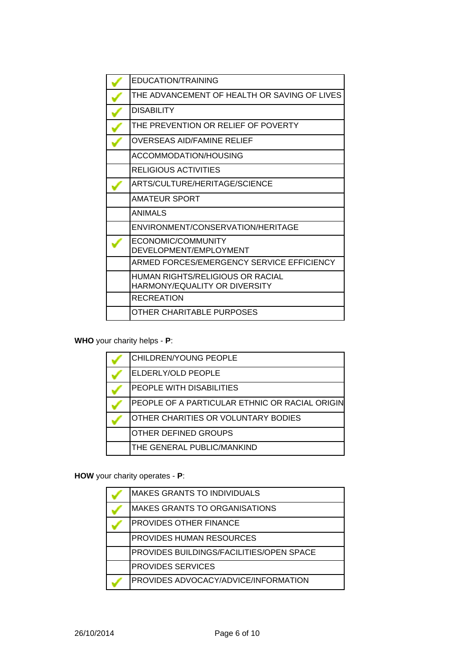| EDUCATION/TRAINING                                                |
|-------------------------------------------------------------------|
| THE ADVANCEMENT OF HEALTH OR SAVING OF LIVES                      |
| DISABILITY                                                        |
| THE PREVENTION OR RELIEF OF POVERTY                               |
| OVERSEAS AID/FAMINE RELIEF                                        |
| ACCOMMODATION/HOUSING                                             |
| RELIGIOUS ACTIVITIES                                              |
| ARTS/CULTURE/HERITAGE/SCIENCE                                     |
| <b>AMATEUR SPORT</b>                                              |
| ANIMALS                                                           |
| ENVIRONMENT/CONSERVATION/HERITAGE                                 |
| ECONOMIC/COMMUNITY<br>DEVELOPMENT/EMPLOYMENT                      |
| ARMED FORCES/EMERGENCY SERVICE EFFICIENCY                         |
| HUMAN RIGHTS/RELIGIOUS OR RACIAL<br>HARMONY/EQUALITY OR DIVERSITY |
| <b>RECREATION</b>                                                 |
| OTHER CHARITABLE PURPOSES                                         |
|                                                                   |

**WHO** your charity helps - **P**:

| CHILDREN/YOUNG PEOPLE                          |
|------------------------------------------------|
| ELDERLY/OLD PEOPLE                             |
| PEOPLE WITH DISABILITIES                       |
| PEOPLE OF A PARTICULAR ETHNIC OR RACIAL ORIGIN |
| OTHER CHARITIES OR VOLUNTARY BODIES            |
| OTHER DEFINED GROUPS                           |
| THE GENERAL PUBLIC/MANKIND                     |

**HOW** your charity operates - **P**:

| <b>MAKES GRANTS TO INDIVIDUALS</b>       |
|------------------------------------------|
| <b>MAKES GRANTS TO ORGANISATIONS</b>     |
| PROVIDES OTHER FINANCE                   |
| <b>PROVIDES HUMAN RESOURCES</b>          |
| PROVIDES BUILDINGS/FACILITIES/OPEN SPACE |
| <b>PROVIDES SERVICES</b>                 |
| PROVIDES ADVOCACY/ADVICE/INFORMATION     |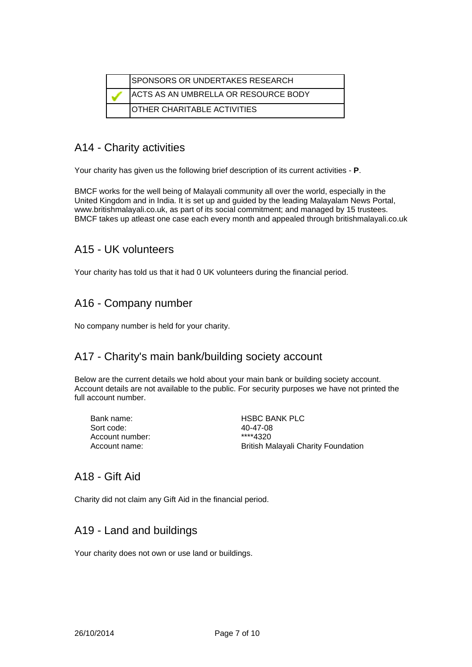| SPONSORS OR UNDERTAKES RESEARCH              |
|----------------------------------------------|
| <b>IACTS AS AN UMBRELLA OR RESOURCE BODY</b> |
| IOTHER CHARITABLE ACTIVITIES                 |

### A14 - Charity activities

Your charity has given us the following brief description of its current activities - **P**.

BMCF works for the well being of Malayali community all over the world, especially in the United Kingdom and in India. It is set up and guided by the leading Malayalam News Portal, www.britishmalayali.co.uk, as part of its social commitment; and managed by 15 trustees. BMCF takes up atleast one case each every month and appealed through britishmalayali.co.uk

### A15 - UK volunteers

Your charity has told us that it had 0 UK volunteers during the financial period.

### A16 - Company number

No company number is held for your charity.

### A17 - Charity's main bank/building society account

Below are the current details we hold about your main bank or building society account. Account details are not available to the public. For security purposes we have not printed the full account number.

| Bank name:      | <b>HSBC BANK PLC</b>                       |
|-----------------|--------------------------------------------|
| Sort code:      | 40-47-08                                   |
| Account number: | ****4320                                   |
| Account name:   | <b>British Malayali Charity Foundation</b> |
|                 |                                            |

### A18 - Gift Aid

Charity did not claim any Gift Aid in the financial period.

### A19 - Land and buildings

Your charity does not own or use land or buildings.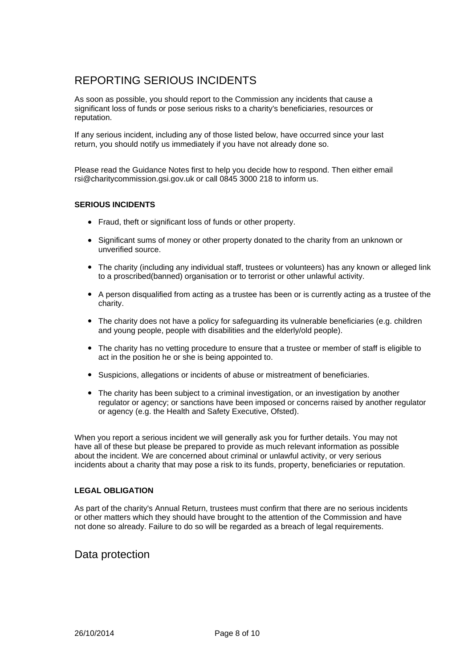### REPORTING SERIOUS INCIDENTS

As soon as possible, you should report to the Commission any incidents that cause a significant loss of funds or pose serious risks to a charity's beneficiaries, resources or reputation.

If any serious incident, including any of those listed below, have occurred since your last return, you should notify us immediately if you have not already done so.

Please read the Guidance Notes first to help you decide how to respond. Then either email rsi@charitycommission.gsi.gov.uk or call 0845 3000 218 to inform us.

#### **SERIOUS INCIDENTS**

- Fraud, theft or significant loss of funds or other property.
- Significant sums of money or other property donated to the charity from an unknown or unverified source.
- The charity (including any individual staff, trustees or volunteers) has any known or alleged link to a proscribed(banned) organisation or to terrorist or other unlawful activity.
- b A person disqualified from acting as a trustee has been or is currently acting as a trustee of the charity.
- The charity does not have a policy for safeguarding its vulnerable beneficiaries (e.g. children and young people, people with disabilities and the elderly/old people).
- The charity has no vetting procedure to ensure that a trustee or member of staff is eligible to act in the position he or she is being appointed to.
- **•** Suspicions, allegations or incidents of abuse or mistreatment of beneficiaries.
- The charity has been subject to a criminal investigation, or an investigation by another regulator or agency; or sanctions have been imposed or concerns raised by another regulator or agency (e.g. the Health and Safety Executive, Ofsted).

When you report a serious incident we will generally ask you for further details. You may not have all of these but please be prepared to provide as much relevant information as possible about the incident. We are concerned about criminal or unlawful activity, or very serious incidents about a charity that may pose a risk to its funds, property, beneficiaries or reputation.

#### **LEGAL OBLIGATION**

As part of the charity's Annual Return, trustees must confirm that there are no serious incidents or other matters which they should have brought to the attention of the Commission and have not done so already. Failure to do so will be regarded as a breach of legal requirements.

### Data protection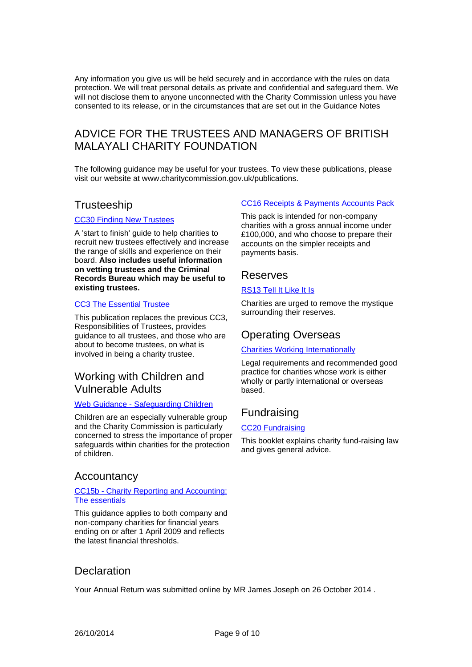Any information you give us will be held securely and in accordance with the rules on data protection. We will treat personal details as private and confidential and safeguard them. We will not disclose them to anyone unconnected with the Charity Commission unless you have consented to its release, or in the circumstances that are set out in the Guidance Notes

### ADVICE FOR THE TRUSTEES AND MANAGERS OF BRITISH MALAYALI CHARITY FOUNDATION

The following guidance may be useful for your trustees. To view these publications, please visit our website at www.charitycommission.gov.uk/publications.

### **Trusteeship**

#### CC30 Finding New Trustees

A 'start to finish' guide to help charities to [recruit new trustees effectively and increase](http://www.charitycommission.gov.uk/detailed-guidance/trustees-staff-and-volunteers/finding-new-trustees-cc30/) the range of skills and experience on their board. **Also includes useful information on vetting trustees and the Criminal Records Bureau which may be useful to existing trustees.**

#### CC3 The Essential Trustee

[This publication replaces the previous CC3,](http://www.charitycommission.gov.uk/detailed-guidance/trustees-staff-and-volunteers/the-essential-trustee-what-you-need-to-know-cc3/) Responsibilities of Trustees, provides guidance to all trustees, and those who are about to become trustees, on what is involved in being a charity trustee.

### Working with Children and Vulnerable Adults

#### Web Guidance - Safeguarding Children

Children are an especially vulnerable group and the Charity Commission is particularly [concerned to stress the importance of proper](http://www.charitycommission.gov.uk/trustees-staff-and-volunteers/staff-and-volunteers/protecting-children-and-vulnerable-adults/) safeguards within charities for the protection of children.

### **Accountancy**

#### CC15b - Charity Reporting and Accounting: The essentials

[This guidance applies to both company and](http://www.charitycommission.gov.uk/detailed-guidance/money-and-accounts/charity-reporting-and-accounting-the-essentials-2009-cc15b/) non-company charities for financial years ending on or after 1 April 2009 and reflects the latest financial thresholds.

#### [CC16 Receipts & Payments Accounts Pack](http://www.charitycommission.gov.uk/detailed-guidance/money-and-accounts/receipts-and-payments-accounts-pack-cc16/)

This pack is intended for non-company charities with a gross annual income under £100,000, and who choose to prepare their accounts on the simpler receipts and payments basis.

#### Reserves

#### RS13 Tell It Like It Is

[Charities are urged to remove the mystique](http://www.charitycommission.gov.uk/media/95265/rs13text.pdf) surrounding their reserves.

### Operating Overseas

#### Charities Working Internationally

[Legal requirements and recommended good](http://www.charitycommission.gov.uk/running-a-charity/your-charitys-work/working-internationally/) practice for charities whose work is either wholly or partly international or overseas based.

### Fundraising

#### **CC20 Fundraising**

[This booklet explains charity fund-raising law](http://www.charitycommission.gov.uk/detailed-guidance/fundraising/charities-and-fundraising-cc20/) and gives general advice.

### **Declaration**

Your Annual Return was submitted online by MR James Joseph on 26 October 2014 .